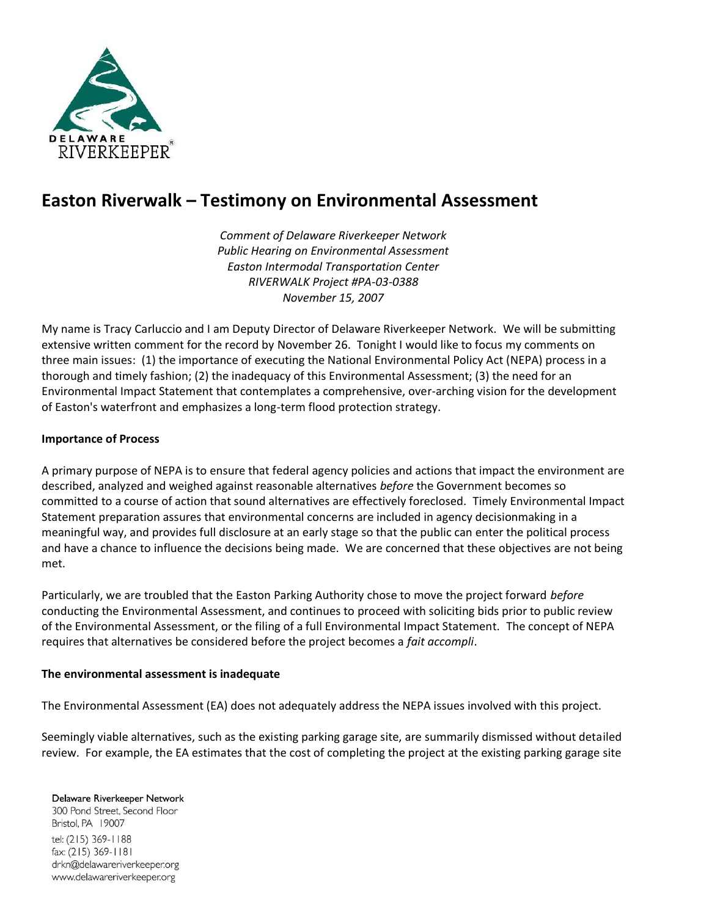

## **Easton Riverwalk – Testimony on Environmental Assessment**

*Comment of Delaware Riverkeeper Network Public Hearing on Environmental Assessment Easton Intermodal Transportation Center RIVERWALK Project #PA-03-0388 November 15, 2007*

My name is Tracy Carluccio and I am Deputy Director of Delaware Riverkeeper Network. We will be submitting extensive written comment for the record by November 26. Tonight I would like to focus my comments on three main issues: (1) the importance of executing the National Environmental Policy Act (NEPA) process in a thorough and timely fashion; (2) the inadequacy of this Environmental Assessment; (3) the need for an Environmental Impact Statement that contemplates a comprehensive, over-arching vision for the development of Easton's waterfront and emphasizes a long-term flood protection strategy.

## **Importance of Process**

A primary purpose of NEPA is to ensure that federal agency policies and actions that impact the environment are described, analyzed and weighed against reasonable alternatives *before* the Government becomes so committed to a course of action that sound alternatives are effectively foreclosed. Timely Environmental Impact Statement preparation assures that environmental concerns are included in agency decisionmaking in a meaningful way, and provides full disclosure at an early stage so that the public can enter the political process and have a chance to influence the decisions being made. We are concerned that these objectives are not being met.

Particularly, we are troubled that the Easton Parking Authority chose to move the project forward *before* conducting the Environmental Assessment, and continues to proceed with soliciting bids prior to public review of the Environmental Assessment, or the filing of a full Environmental Impact Statement. The concept of NEPA requires that alternatives be considered before the project becomes a *fait accompli*.

## **The environmental assessment is inadequate**

The Environmental Assessment (EA) does not adequately address the NEPA issues involved with this project.

Seemingly viable alternatives, such as the existing parking garage site, are summarily dismissed without detailed review. For example, the EA estimates that the cost of completing the project at the existing parking garage site

Delaware Riverkeeper Network 300 Pond Street, Second Floor Bristol, PA 19007 tel: (215) 369-1188 fax: (215) 369-1181 drkn@delawareriverkeeper.org www.delawareriverkeeper.org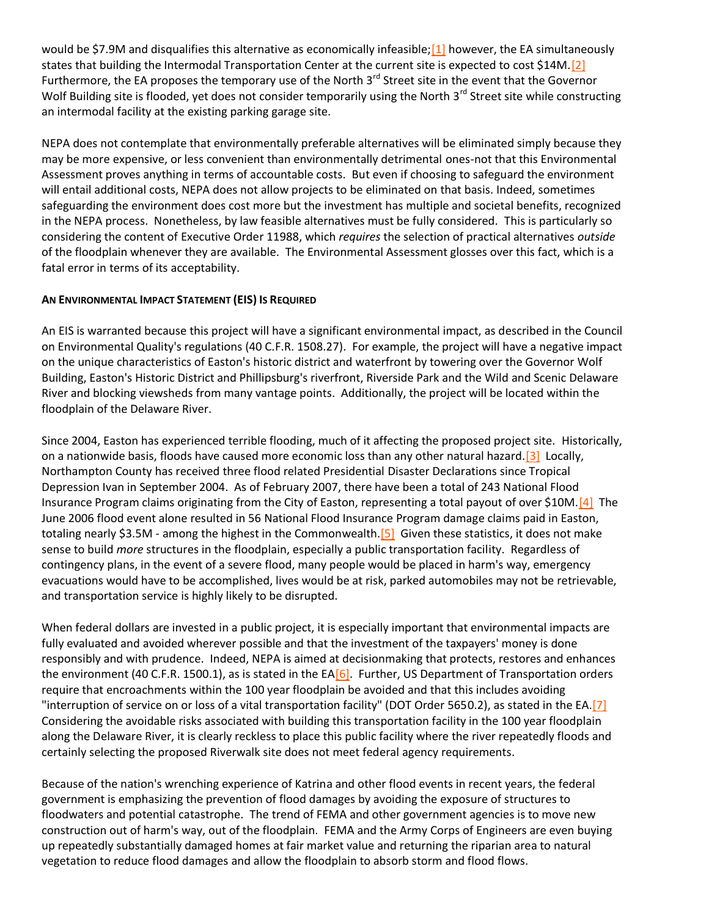would be \$7.9M and disqualifies this alternative as economically infeasible; [1] however, the EA simultaneously states that building the Intermodal Transportation Center at the current site is expected to cost \$14M[.\[2\]](http://delawareriverkeeper.org/newsresources/factsheet.asp?ID=61#_ftn2) Furthermore, the EA proposes the temporary use of the North  $3<sup>rd</sup>$  Street site in the event that the Governor Wolf Building site is flooded, yet does not consider temporarily using the North  $3^{rd}$  Street site while constructing an intermodal facility at the existing parking garage site.

NEPA does not contemplate that environmentally preferable alternatives will be eliminated simply because they may be more expensive, or less convenient than environmentally detrimental ones-not that this Environmental Assessment proves anything in terms of accountable costs. But even if choosing to safeguard the environment will entail additional costs, NEPA does not allow projects to be eliminated on that basis. Indeed, sometimes safeguarding the environment does cost more but the investment has multiple and societal benefits, recognized in the NEPA process. Nonetheless, by law feasible alternatives must be fully considered. This is particularly so considering the content of Executive Order 11988, which *requires* the selection of practical alternatives *outside* of the floodplain whenever they are available. The Environmental Assessment glosses over this fact, which is a fatal error in terms of its acceptability.

## **AN ENVIRONMENTAL IMPACT STATEMENT (EIS) IS REQUIRED**

An EIS is warranted because this project will have a significant environmental impact, as described in the Council on Environmental Quality's regulations (40 C.F.R. 1508.27). For example, the project will have a negative impact on the unique characteristics of Easton's historic district and waterfront by towering over the Governor Wolf Building, Easton's Historic District and Phillipsburg's riverfront, Riverside Park and the Wild and Scenic Delaware River and blocking viewsheds from many vantage points. Additionally, the project will be located within the floodplain of the Delaware River.

Since 2004, Easton has experienced terrible flooding, much of it affecting the proposed project site. Historically, on a nationwide basis, floods have caused more economic loss than any other natural hazard[.\[3\]](http://delawareriverkeeper.org/newsresources/factsheet.asp?ID=61#_ftn3) Locally, Northampton County has received three flood related Presidential Disaster Declarations since Tropical Depression Ivan in September 2004. As of February 2007, there have been a total of 243 National Flood Insurance Program claims originating from the City of Easton, representing a total payout of over \$10M[.\[4\]](http://delawareriverkeeper.org/newsresources/factsheet.asp?ID=61#_ftn4) The June 2006 flood event alone resulted in 56 National Flood Insurance Program damage claims paid in Easton, totaling nearly \$3.5M - among the highest in the Commonwealth.<sup>[5]</sup> Given these statistics, it does not make sense to build *more* structures in the floodplain, especially a public transportation facility. Regardless of contingency plans, in the event of a severe flood, many people would be placed in harm's way, emergency evacuations would have to be accomplished, lives would be at risk, parked automobiles may not be retrievable, and transportation service is highly likely to be disrupted.

When federal dollars are invested in a public project, it is especially important that environmental impacts are fully evaluated and avoided wherever possible and that the investment of the taxpayers' money is done responsibly and with prudence. Indeed, NEPA is aimed at decisionmaking that protects, restores and enhances the environment (40 C.F.R. 1500.1), as is stated in the E[A\[6\].](http://delawareriverkeeper.org/newsresources/factsheet.asp?ID=61#_ftn6) Further, US Department of Transportation orders require that encroachments within the 100 year floodplain be avoided and that this includes avoiding "interruption of service on or loss of a vital transportation facility" (DOT Order 5650.2), as stated in the EA[.\[7\]](http://delawareriverkeeper.org/newsresources/factsheet.asp?ID=61#_ftn7) Considering the avoidable risks associated with building this transportation facility in the 100 year floodplain along the Delaware River, it is clearly reckless to place this public facility where the river repeatedly floods and certainly selecting the proposed Riverwalk site does not meet federal agency requirements.

Because of the nation's wrenching experience of Katrina and other flood events in recent years, the federal government is emphasizing the prevention of flood damages by avoiding the exposure of structures to floodwaters and potential catastrophe. The trend of FEMA and other government agencies is to move new construction out of harm's way, out of the floodplain. FEMA and the Army Corps of Engineers are even buying up repeatedly substantially damaged homes at fair market value and returning the riparian area to natural vegetation to reduce flood damages and allow the floodplain to absorb storm and flood flows.